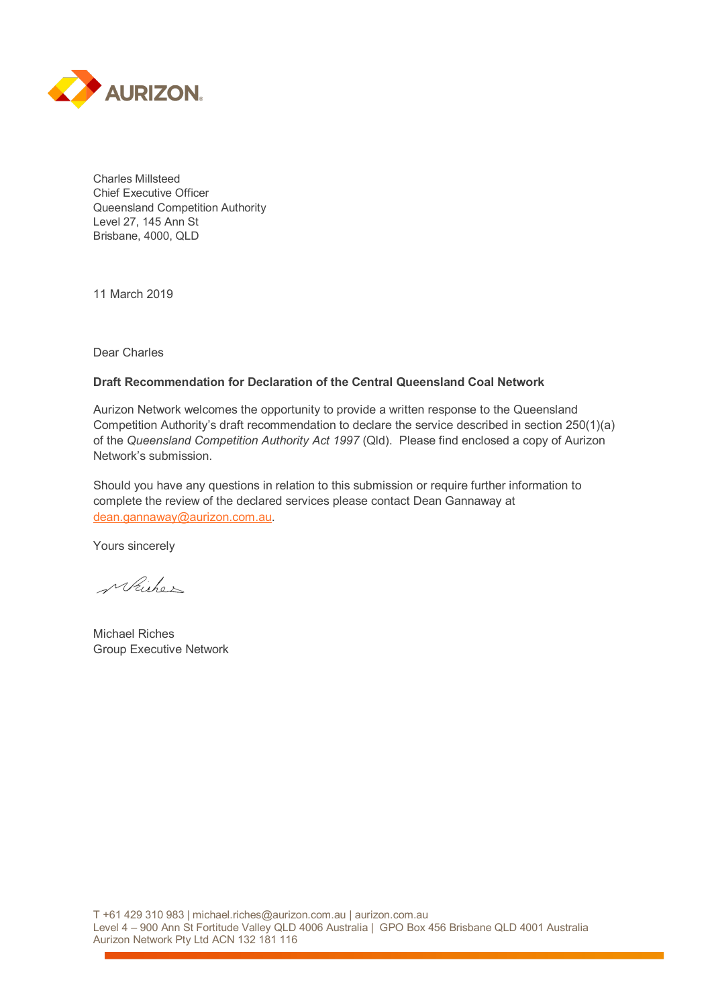

Charles Millsteed Chief Executive Officer Queensland Competition Authority Level 27, 145 Ann St Brisbane, 4000, QLD

11 March 2019

Dear Charles

#### **Draft Recommendation for Declaration of the Central Queensland Coal Network**

Aurizon Network welcomes the opportunity to provide a written response to the Queensland Competition Authority's draft recommendation to declare the service described in section 250(1)(a) of the *Queensland Competition Authority Act 1997* (Qld). Please find enclosed a copy of Aurizon Network's submission.

Should you have any questions in relation to this submission or require further information to complete the review of the declared services please contact Dean Gannaway at [dean.gannaway@aurizon.com.au.](mailto:dean.gannaway@aurizon.com.au)

Yours sincerely

Michon

Michael Riches Group Executive Network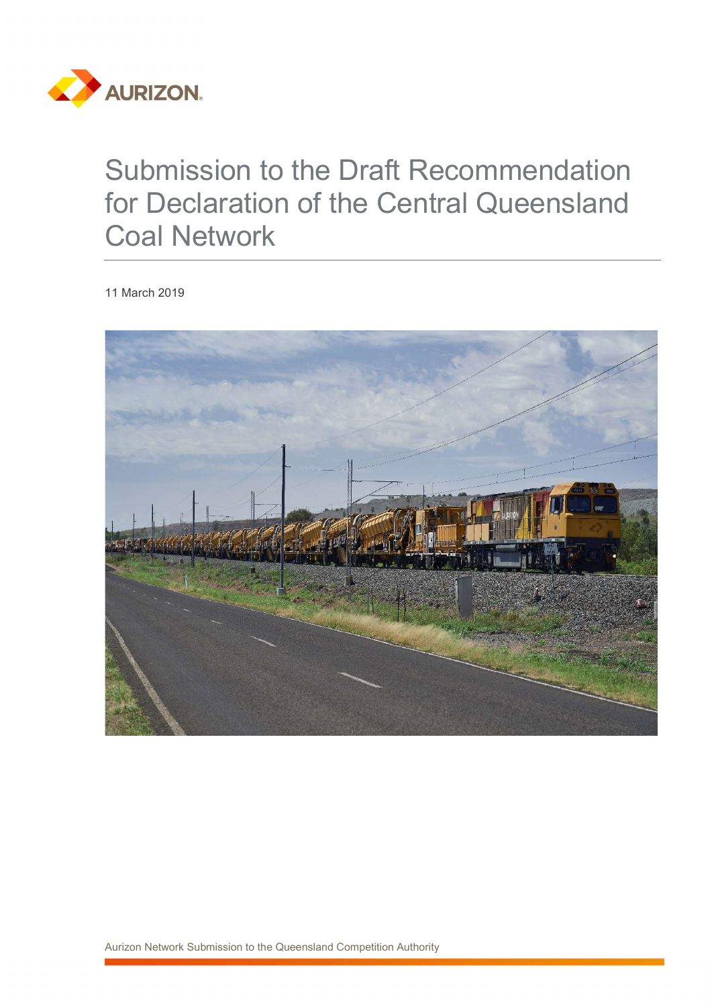

# Submission to the Draft Recommendation for Declaration of the Central Queensland Coal Network

11 March 2019

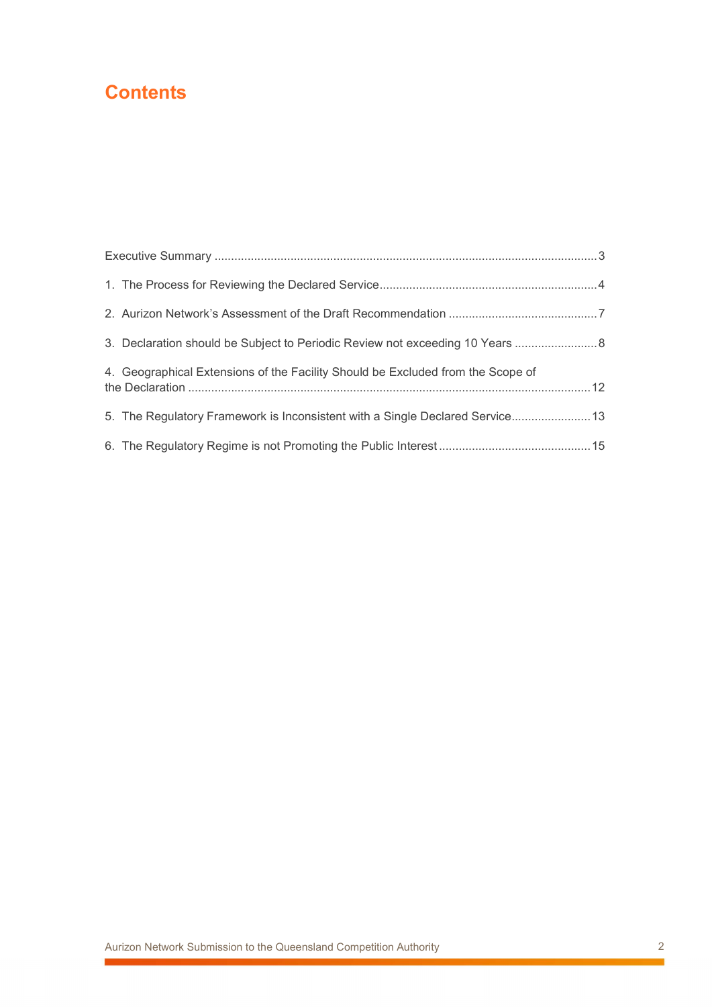# **Contents**

| 3. Declaration should be Subject to Periodic Review not exceeding 10 Years      |  |
|---------------------------------------------------------------------------------|--|
| 4. Geographical Extensions of the Facility Should be Excluded from the Scope of |  |
| 5. The Regulatory Framework is Inconsistent with a Single Declared Service 13   |  |
|                                                                                 |  |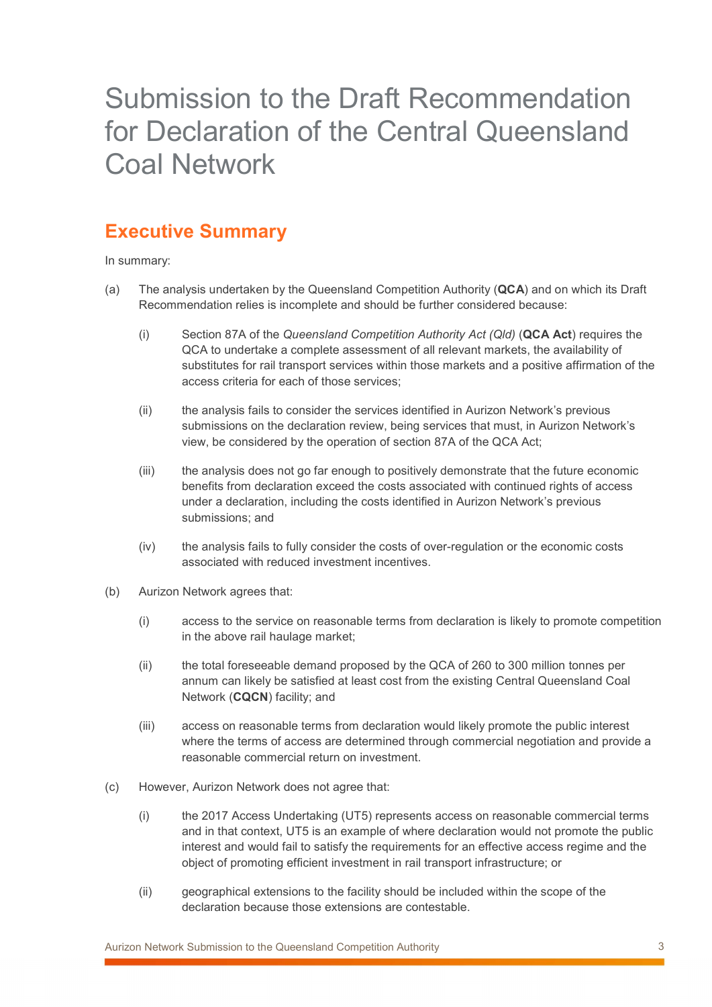# Submission to the Draft Recommendation for Declaration of the Central Queensland Coal Network

# Executive Summary

In summary:

- (a) The analysis undertaken by the Queensland Competition Authority (QCA) and on which its Draft Recommendation relies is incomplete and should be further considered because:
	- (i) Section 87A of the Queensland Competition Authority Act  $(Q|d)$  (QCA Act) requires the QCA to undertake a complete assessment of all relevant markets, the availability of substitutes for rail transport services within those markets and a positive affirmation of the access criteria for each of those services;
	- (ii) the analysis fails to consider the services identified in Aurizon Network's previous submissions on the declaration review, being services that must, in Aurizon Network's view, be considered by the operation of section 87A of the QCA Act;
	- (iii) the analysis does not go far enough to positively demonstrate that the future economic benefits from declaration exceed the costs associated with continued rights of access under a declaration, including the costs identified in Aurizon Network's previous submissions; and
	- (iv) the analysis fails to fully consider the costs of over-regulation or the economic costs associated with reduced investment incentives.
- (b) Aurizon Network agrees that:
	- (i) access to the service on reasonable terms from declaration is likely to promote competition in the above rail haulage market;
	- (ii) the total foreseeable demand proposed by the QCA of 260 to 300 million tonnes per annum can likely be satisfied at least cost from the existing Central Queensland Coal Network (CQCN) facility; and
	- (iii) access on reasonable terms from declaration would likely promote the public interest where the terms of access are determined through commercial negotiation and provide a reasonable commercial return on investment.
- (c) However, Aurizon Network does not agree that:
	- (i) the 2017 Access Undertaking (UT5) represents access on reasonable commercial terms and in that context, UT5 is an example of where declaration would not promote the public interest and would fail to satisfy the requirements for an effective access regime and the object of promoting efficient investment in rail transport infrastructure; or
	- (ii) geographical extensions to the facility should be included within the scope of the declaration because those extensions are contestable.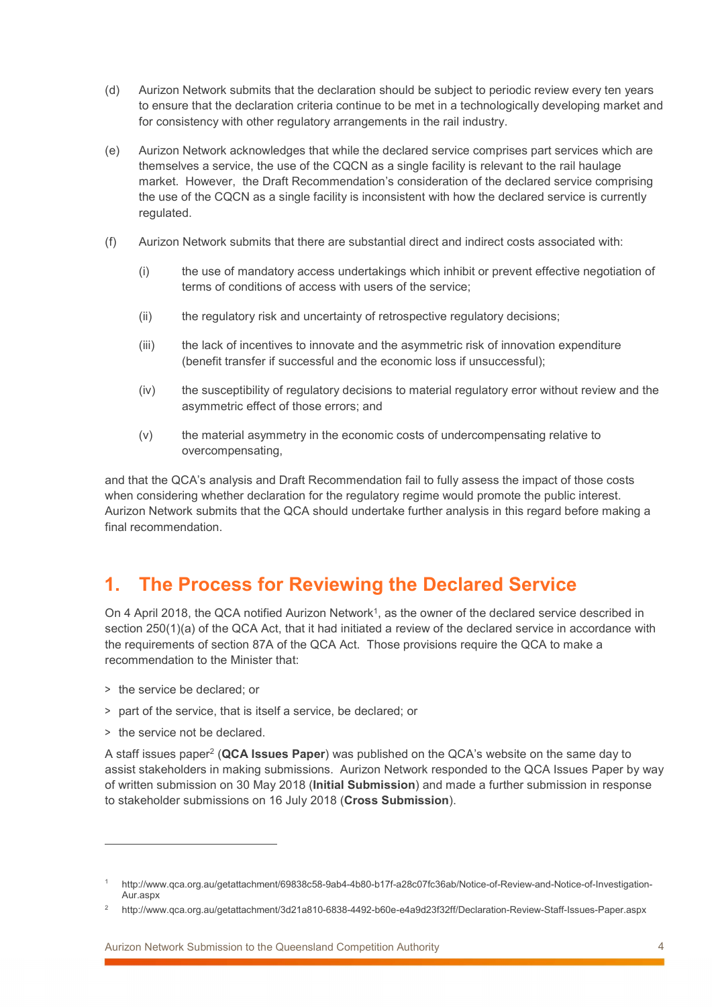- (d) Aurizon Network submits that the declaration should be subject to periodic review every ten years to ensure that the declaration criteria continue to be met in a technologically developing market and for consistency with other regulatory arrangements in the rail industry.
- (e) Aurizon Network acknowledges that while the declared service comprises part services which are themselves a service, the use of the CQCN as a single facility is relevant to the rail haulage market. However, the Draft Recommendation's consideration of the declared service comprising the use of the CQCN as a single facility is inconsistent with how the declared service is currently regulated.
- (f) Aurizon Network submits that there are substantial direct and indirect costs associated with:
	- (i) the use of mandatory access undertakings which inhibit or prevent effective negotiation of terms of conditions of access with users of the service;
	- (ii) the regulatory risk and uncertainty of retrospective regulatory decisions;
	- (iii) the lack of incentives to innovate and the asymmetric risk of innovation expenditure (benefit transfer if successful and the economic loss if unsuccessful);
	- (iv) the susceptibility of regulatory decisions to material regulatory error without review and the asymmetric effect of those errors; and
	- (v) the material asymmetry in the economic costs of undercompensating relative to overcompensating,

and that the QCA's analysis and Draft Recommendation fail to fully assess the impact of those costs when considering whether declaration for the regulatory regime would promote the public interest. Aurizon Network submits that the QCA should undertake further analysis in this regard before making a final recommendation.

## 1. The Process for Reviewing the Declared Service

On 4 April 2018, the QCA notified Aurizon Network<sup>1</sup>, as the owner of the declared service described in section 250(1)(a) of the QCA Act, that it had initiated a review of the declared service in accordance with the requirements of section 87A of the QCA Act. Those provisions require the QCA to make a recommendation to the Minister that:

- > the service be declared; or
- > part of the service, that is itself a service, be declared; or
- > the service not be declared.

 $\overline{a}$ 

A staff issues paper<sup>2</sup> (QCA Issues Paper) was published on the QCA's website on the same day to assist stakeholders in making submissions. Aurizon Network responded to the QCA Issues Paper by way of written submission on 30 May 2018 (Initial Submission) and made a further submission in response to stakeholder submissions on 16 July 2018 (Cross Submission).

<sup>1</sup> http://www.qca.org.au/getattachment/69838c58-9ab4-4b80-b17f-a28c07fc36ab/Notice-of-Review-and-Notice-of-Investigation-Aur.aspx

<sup>2</sup> http://www.qca.org.au/getattachment/3d21a810-6838-4492-b60e-e4a9d23f32ff/Declaration-Review-Staff-Issues-Paper.aspx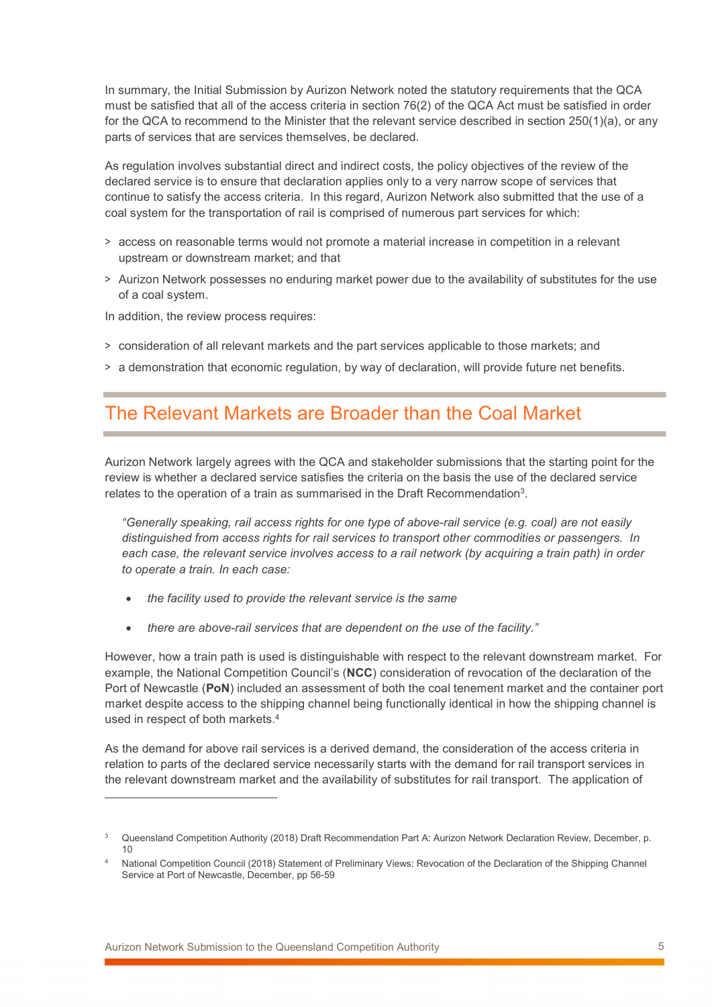In summary, the Initial Submission by Aurizon Network noted the statutory requirements that the QCA must be satisfied that all of the access criteria in section 76(2) of the QCA Act must be satisfied in order for the QCA to recommend to the Minister that the relevant service described in section 250(1)(a), or any parts of services that are services themselves, be declared.

As regulation involves substantial direct and indirect costs, the policy objectives of the review of the declared service is to ensure that declaration applies only to a very narrow scope of services that continue to satisfy the access criteria. In this regard, Aurizon Network also submitted that the use of a coal system for the transportation of rail is comprised of numerous part services for which:

- > access on reasonable terms would not promote a material increase in competition in a relevant upstream or downstream market; and that
- > Aurizon Network possesses no enduring market power due to the availability of substitutes for the use of a coal system.

In addition, the review process requires:

- > consideration of all relevant markets and the part services applicable to those markets; and
- > a demonstration that economic regulation, by way of declaration, will provide future net benefits.

#### The Relevant Markets are Broader than the Coal Market

Aurizon Network largely agrees with the QCA and stakeholder submissions that the starting point for the review is whether a declared service satisfies the criteria on the basis the use of the declared service relates to the operation of a train as summarised in the Draft Recommendation<sup>3</sup>.

"Generally speaking, rail access rights for one type of above-rail service (e.g. coal) are not easily distinguished from access rights for rail services to transport other commodities or passengers. In each case, the relevant service involves access to a rail network (by acquiring a train path) in order to operate a train. In each case:

- the facility used to provide the relevant service is the same
- there are above-rail services that are dependent on the use of the facility."

However, how a train path is used is distinguishable with respect to the relevant downstream market. For example, the National Competition Council's (NCC) consideration of revocation of the declaration of the Port of Newcastle (PoN) included an assessment of both the coal tenement market and the container port market despite access to the shipping channel being functionally identical in how the shipping channel is used in respect of both markets.<sup>4</sup>

As the demand for above rail services is a derived demand, the consideration of the access criteria in relation to parts of the declared service necessarily starts with the demand for rail transport services in the relevant downstream market and the availability of substitutes for rail transport. The application of

<sup>3</sup> Queensland Competition Authority (2018) Draft Recommendation Part A: Aurizon Network Declaration Review, December, p. 10

<sup>4</sup> National Competition Council (2018) Statement of Preliminary Views: Revocation of the Declaration of the Shipping Channel Service at Port of Newcastle, December, pp 56-59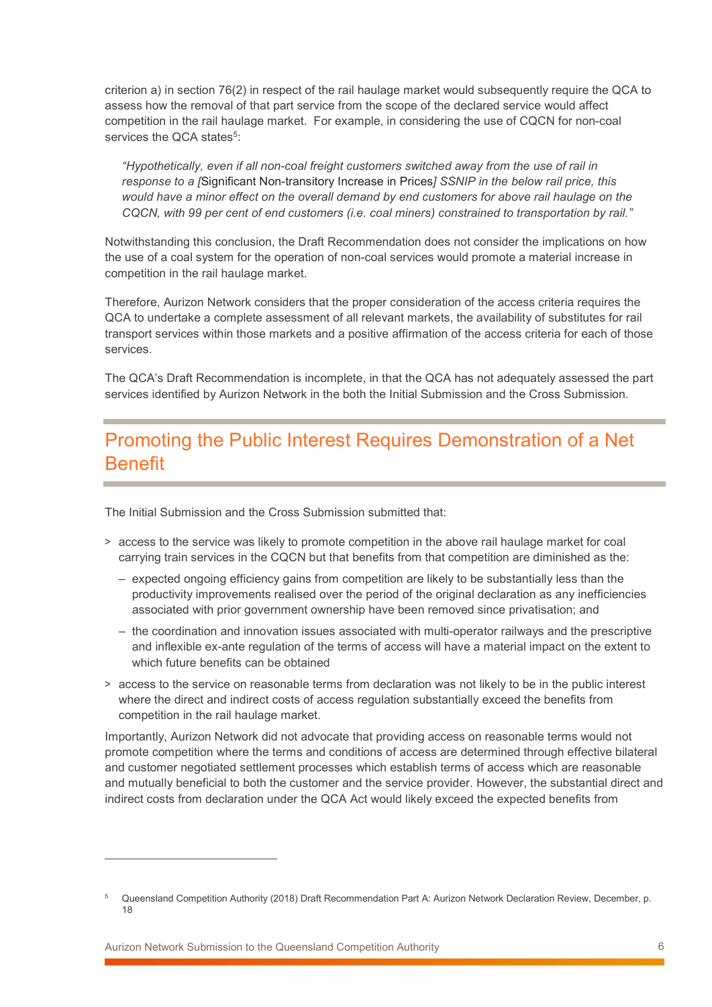criterion a) in section 76(2) in respect of the rail haulage market would subsequently require the QCA to assess how the removal of that part service from the scope of the declared service would affect competition in the rail haulage market. For example, in considering the use of CQCN for non-coal services the QCA states<sup>5</sup>:

"Hypothetically, even if all non-coal freight customers switched away from the use of rail in response to a *[*Significant Non-transitory Increase in Prices] SSNIP in the below rail price, this would have a minor effect on the overall demand by end customers for above rail haulage on the CQCN, with 99 per cent of end customers (i.e. coal miners) constrained to transportation by rail."

Notwithstanding this conclusion, the Draft Recommendation does not consider the implications on how the use of a coal system for the operation of non-coal services would promote a material increase in competition in the rail haulage market.

Therefore, Aurizon Network considers that the proper consideration of the access criteria requires the QCA to undertake a complete assessment of all relevant markets, the availability of substitutes for rail transport services within those markets and a positive affirmation of the access criteria for each of those services.

The QCA's Draft Recommendation is incomplete, in that the QCA has not adequately assessed the part services identified by Aurizon Network in the both the Initial Submission and the Cross Submission.

# Promoting the Public Interest Requires Demonstration of a Net Benefit

The Initial Submission and the Cross Submission submitted that:

- > access to the service was likely to promote competition in the above rail haulage market for coal carrying train services in the CQCN but that benefits from that competition are diminished as the:
	- expected ongoing efficiency gains from competition are likely to be substantially less than the productivity improvements realised over the period of the original declaration as any inefficiencies associated with prior government ownership have been removed since privatisation; and
	- the coordination and innovation issues associated with multi-operator railways and the prescriptive and inflexible ex-ante regulation of the terms of access will have a material impact on the extent to which future benefits can be obtained
- > access to the service on reasonable terms from declaration was not likely to be in the public interest where the direct and indirect costs of access regulation substantially exceed the benefits from competition in the rail haulage market.

Importantly, Aurizon Network did not advocate that providing access on reasonable terms would not promote competition where the terms and conditions of access are determined through effective bilateral and customer negotiated settlement processes which establish terms of access which are reasonable and mutually beneficial to both the customer and the service provider. However, the substantial direct and indirect costs from declaration under the QCA Act would likely exceed the expected benefits from

Aurizon Network Submission to the Queensland Competition Authority 6

<sup>5</sup> Queensland Competition Authority (2018) Draft Recommendation Part A: Aurizon Network Declaration Review, December, p. 18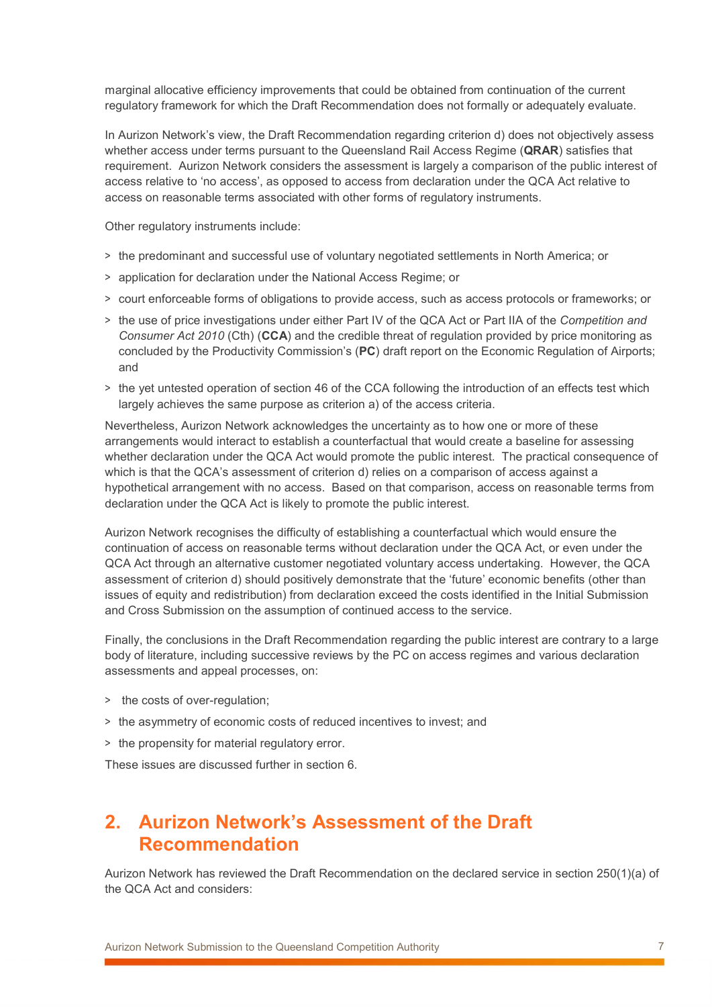marginal allocative efficiency improvements that could be obtained from continuation of the current regulatory framework for which the Draft Recommendation does not formally or adequately evaluate.

In Aurizon Network's view, the Draft Recommendation regarding criterion d) does not objectively assess whether access under terms pursuant to the Queensland Rail Access Regime (QRAR) satisfies that requirement. Aurizon Network considers the assessment is largely a comparison of the public interest of access relative to 'no access', as opposed to access from declaration under the QCA Act relative to access on reasonable terms associated with other forms of regulatory instruments.

Other regulatory instruments include:

- > the predominant and successful use of voluntary negotiated settlements in North America; or
- > application for declaration under the National Access Regime; or
- > court enforceable forms of obligations to provide access, such as access protocols or frameworks; or
- > the use of price investigations under either Part IV of the QCA Act or Part IIA of the Competition and Consumer Act 2010 (Cth) (CCA) and the credible threat of regulation provided by price monitoring as concluded by the Productivity Commission's (PC) draft report on the Economic Regulation of Airports; and
- > the yet untested operation of section 46 of the CCA following the introduction of an effects test which largely achieves the same purpose as criterion a) of the access criteria.

Nevertheless, Aurizon Network acknowledges the uncertainty as to how one or more of these arrangements would interact to establish a counterfactual that would create a baseline for assessing whether declaration under the QCA Act would promote the public interest. The practical consequence of which is that the QCA's assessment of criterion d) relies on a comparison of access against a hypothetical arrangement with no access. Based on that comparison, access on reasonable terms from declaration under the QCA Act is likely to promote the public interest.

Aurizon Network recognises the difficulty of establishing a counterfactual which would ensure the continuation of access on reasonable terms without declaration under the QCA Act, or even under the QCA Act through an alternative customer negotiated voluntary access undertaking. However, the QCA assessment of criterion d) should positively demonstrate that the 'future' economic benefits (other than issues of equity and redistribution) from declaration exceed the costs identified in the Initial Submission and Cross Submission on the assumption of continued access to the service.

Finally, the conclusions in the Draft Recommendation regarding the public interest are contrary to a large body of literature, including successive reviews by the PC on access regimes and various declaration assessments and appeal processes, on:

- > the costs of over-regulation;
- > the asymmetry of economic costs of reduced incentives to invest; and
- > the propensity for material regulatory error.

These issues are discussed further in section 6.

#### 2. Aurizon Network's Assessment of the Draft Recommendation

Aurizon Network has reviewed the Draft Recommendation on the declared service in section 250(1)(a) of the QCA Act and considers: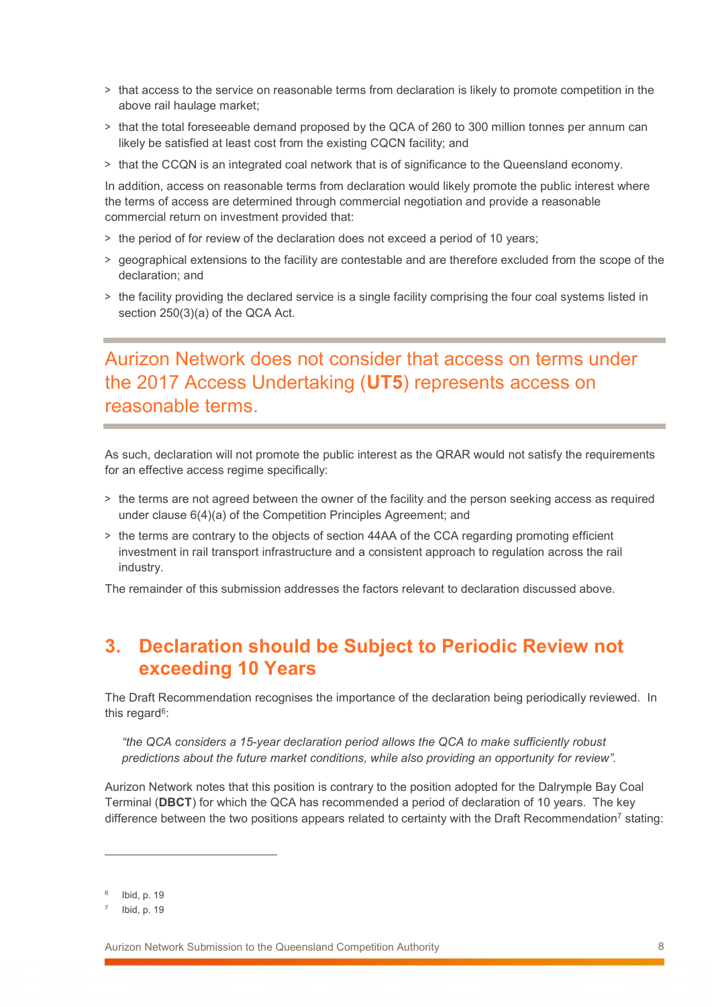- > that access to the service on reasonable terms from declaration is likely to promote competition in the above rail haulage market;
- > that the total foreseeable demand proposed by the QCA of 260 to 300 million tonnes per annum can likely be satisfied at least cost from the existing CQCN facility; and
- > that the CCQN is an integrated coal network that is of significance to the Queensland economy.

In addition, access on reasonable terms from declaration would likely promote the public interest where the terms of access are determined through commercial negotiation and provide a reasonable commercial return on investment provided that:

- > the period of for review of the declaration does not exceed a period of 10 years;
- > geographical extensions to the facility are contestable and are therefore excluded from the scope of the declaration; and
- > the facility providing the declared service is a single facility comprising the four coal systems listed in section 250(3)(a) of the QCA Act.

# Aurizon Network does not consider that access on terms under the 2017 Access Undertaking (UT5) represents access on reasonable terms.

As such, declaration will not promote the public interest as the QRAR would not satisfy the requirements for an effective access regime specifically:

- > the terms are not agreed between the owner of the facility and the person seeking access as required under clause 6(4)(a) of the Competition Principles Agreement; and
- > the terms are contrary to the objects of section 44AA of the CCA regarding promoting efficient investment in rail transport infrastructure and a consistent approach to regulation across the rail industry.

The remainder of this submission addresses the factors relevant to declaration discussed above.

# 3. Declaration should be Subject to Periodic Review not exceeding 10 Years

The Draft Recommendation recognises the importance of the declaration being periodically reviewed. In this regard<sup>6</sup>:

"the QCA considers a 15-year declaration period allows the QCA to make sufficiently robust predictions about the future market conditions, while also providing an opportunity for review".

Aurizon Network notes that this position is contrary to the position adopted for the Dalrymple Bay Coal Terminal (DBCT) for which the QCA has recommended a period of declaration of 10 years. The key difference between the two positions appears related to certainty with the Draft Recommendation<sup>7</sup> stating:

<sup>6</sup> Ibid, p. 19

<sup>7</sup> Ibid, p. 19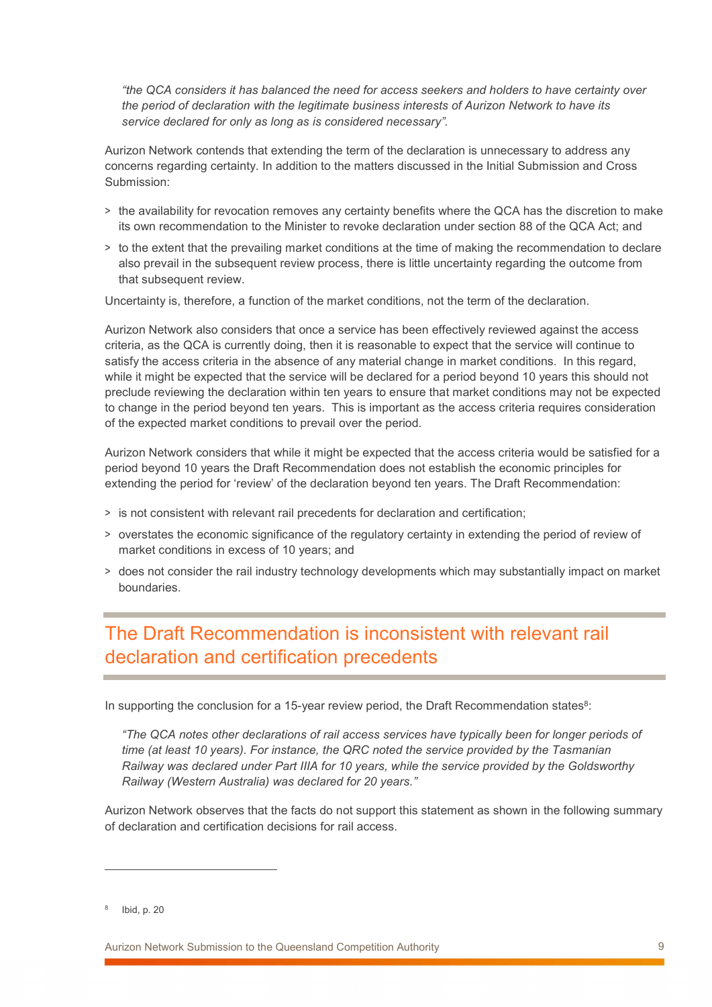"the QCA considers it has balanced the need for access seekers and holders to have certainty over the period of declaration with the legitimate business interests of Aurizon Network to have its service declared for only as long as is considered necessary".

Aurizon Network contends that extending the term of the declaration is unnecessary to address any concerns regarding certainty. In addition to the matters discussed in the Initial Submission and Cross Submission:

- > the availability for revocation removes any certainty benefits where the QCA has the discretion to make its own recommendation to the Minister to revoke declaration under section 88 of the QCA Act; and
- > to the extent that the prevailing market conditions at the time of making the recommendation to declare also prevail in the subsequent review process, there is little uncertainty regarding the outcome from that subsequent review.

Uncertainty is, therefore, a function of the market conditions, not the term of the declaration.

Aurizon Network also considers that once a service has been effectively reviewed against the access criteria, as the QCA is currently doing, then it is reasonable to expect that the service will continue to satisfy the access criteria in the absence of any material change in market conditions. In this regard, while it might be expected that the service will be declared for a period beyond 10 years this should not preclude reviewing the declaration within ten years to ensure that market conditions may not be expected to change in the period beyond ten years. This is important as the access criteria requires consideration of the expected market conditions to prevail over the period.

Aurizon Network considers that while it might be expected that the access criteria would be satisfied for a period beyond 10 years the Draft Recommendation does not establish the economic principles for extending the period for 'review' of the declaration beyond ten years. The Draft Recommendation:

- > is not consistent with relevant rail precedents for declaration and certification;
- > overstates the economic significance of the regulatory certainty in extending the period of review of market conditions in excess of 10 years; and
- > does not consider the rail industry technology developments which may substantially impact on market boundaries.

# The Draft Recommendation is inconsistent with relevant rail declaration and certification precedents

In supporting the conclusion for a 15-year review period, the Draft Recommendation states $8$ :

"The QCA notes other declarations of rail access services have typically been for longer periods of time (at least 10 years). For instance, the QRC noted the service provided by the Tasmanian Railway was declared under Part IIIA for 10 years, while the service provided by the Goldsworthy Railway (Western Australia) was declared for 20 years."

Aurizon Network observes that the facts do not support this statement as shown in the following summary of declaration and certification decisions for rail access.

 $\overline{a}$ 

Aurizon Network Submission to the Queensland Competition Authority 9

<sup>8</sup> Ibid, p. 20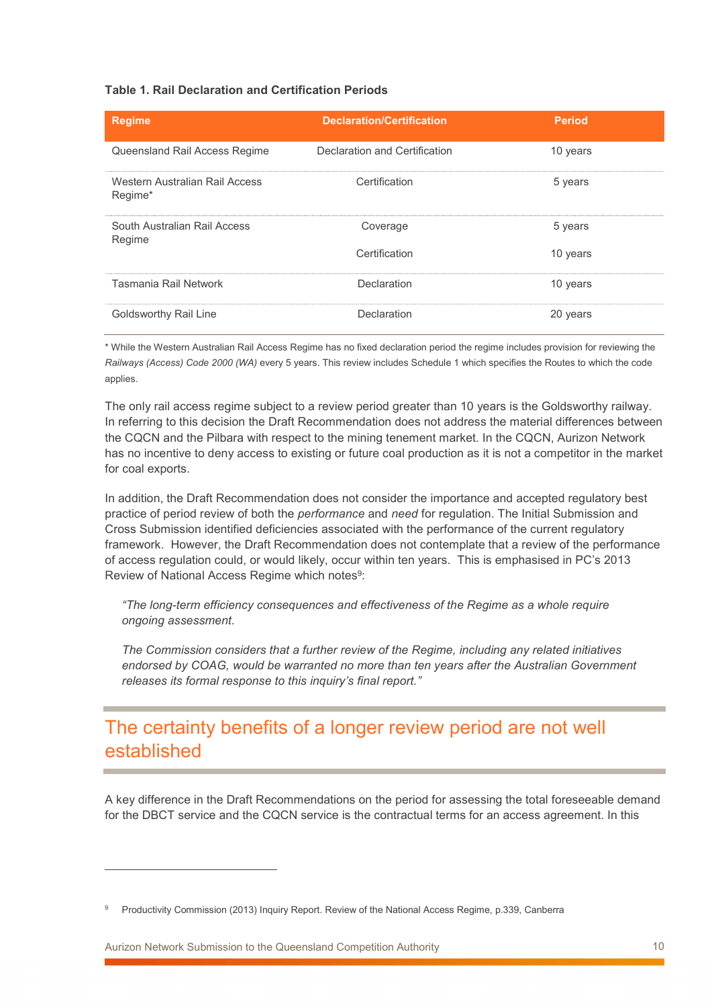#### Table 1. Rail Declaration and Certification Periods

| <b>Regime</b>                             | <b>Declaration/Certification</b> | <b>Period</b> |
|-------------------------------------------|----------------------------------|---------------|
| Queensland Rail Access Regime             | Declaration and Certification    | 10 years      |
| Western Australian Rail Access<br>Regime* | Certification                    | 5 years       |
| South Australian Rail Access<br>Regime    | Coverage                         | 5 years       |
|                                           | Certification                    | 10 years      |
| Tasmania Rail Network                     | Declaration                      | 10 years      |
| Goldsworthy Rail Line                     | Declaration                      | 20 years      |

\* While the Western Australian Rail Access Regime has no fixed declaration period the regime includes provision for reviewing the Railways (Access) Code 2000 (WA) every 5 years. This review includes Schedule 1 which specifies the Routes to which the code applies.

The only rail access regime subject to a review period greater than 10 years is the Goldsworthy railway. In referring to this decision the Draft Recommendation does not address the material differences between the CQCN and the Pilbara with respect to the mining tenement market. In the CQCN, Aurizon Network has no incentive to deny access to existing or future coal production as it is not a competitor in the market for coal exports.

In addition, the Draft Recommendation does not consider the importance and accepted regulatory best practice of period review of both the performance and need for regulation. The Initial Submission and Cross Submission identified deficiencies associated with the performance of the current regulatory framework. However, the Draft Recommendation does not contemplate that a review of the performance of access regulation could, or would likely, occur within ten years. This is emphasised in PC's 2013 Review of National Access Regime which notes<sup>9</sup>:

"The long-term efficiency consequences and effectiveness of the Regime as a whole require ongoing assessment.

The Commission considers that a further review of the Regime, including any related initiatives endorsed by COAG, would be warranted no more than ten years after the Australian Government releases its formal response to this inquiry's final report."

## The certainty benefits of a longer review period are not well established

A key difference in the Draft Recommendations on the period for assessing the total foreseeable demand for the DBCT service and the CQCN service is the contractual terms for an access agreement. In this

<sup>9</sup> Productivity Commission (2013) Inquiry Report. Review of the National Access Regime, p.339, Canberra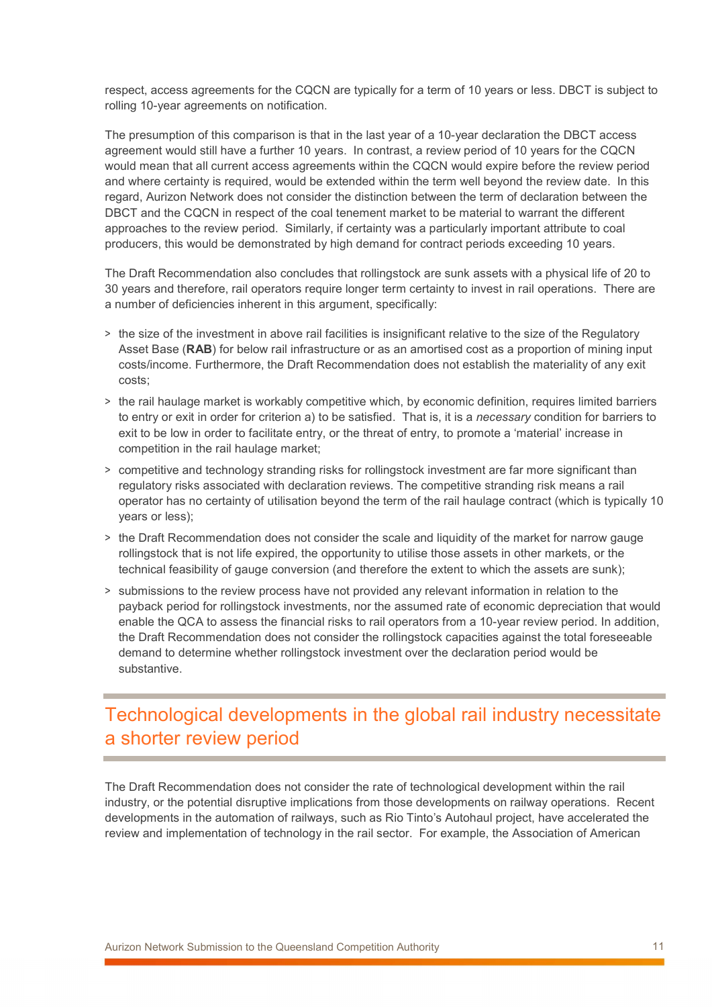respect, access agreements for the CQCN are typically for a term of 10 years or less. DBCT is subject to rolling 10-year agreements on notification.

The presumption of this comparison is that in the last year of a 10-year declaration the DBCT access agreement would still have a further 10 years. In contrast, a review period of 10 years for the CQCN would mean that all current access agreements within the CQCN would expire before the review period and where certainty is required, would be extended within the term well beyond the review date. In this regard, Aurizon Network does not consider the distinction between the term of declaration between the DBCT and the CQCN in respect of the coal tenement market to be material to warrant the different approaches to the review period. Similarly, if certainty was a particularly important attribute to coal producers, this would be demonstrated by high demand for contract periods exceeding 10 years.

The Draft Recommendation also concludes that rollingstock are sunk assets with a physical life of 20 to 30 years and therefore, rail operators require longer term certainty to invest in rail operations. There are a number of deficiencies inherent in this argument, specifically:

- > the size of the investment in above rail facilities is insignificant relative to the size of the Regulatory Asset Base (RAB) for below rail infrastructure or as an amortised cost as a proportion of mining input costs/income. Furthermore, the Draft Recommendation does not establish the materiality of any exit costs;
- > the rail haulage market is workably competitive which, by economic definition, requires limited barriers to entry or exit in order for criterion a) to be satisfied. That is, it is a necessary condition for barriers to exit to be low in order to facilitate entry, or the threat of entry, to promote a 'material' increase in competition in the rail haulage market;
- > competitive and technology stranding risks for rollingstock investment are far more significant than regulatory risks associated with declaration reviews. The competitive stranding risk means a rail operator has no certainty of utilisation beyond the term of the rail haulage contract (which is typically 10 years or less);
- > the Draft Recommendation does not consider the scale and liquidity of the market for narrow gauge rollingstock that is not life expired, the opportunity to utilise those assets in other markets, or the technical feasibility of gauge conversion (and therefore the extent to which the assets are sunk);
- > submissions to the review process have not provided any relevant information in relation to the payback period for rollingstock investments, nor the assumed rate of economic depreciation that would enable the QCA to assess the financial risks to rail operators from a 10-year review period. In addition, the Draft Recommendation does not consider the rollingstock capacities against the total foreseeable demand to determine whether rollingstock investment over the declaration period would be substantive.

# Technological developments in the global rail industry necessitate a shorter review period

The Draft Recommendation does not consider the rate of technological development within the rail industry, or the potential disruptive implications from those developments on railway operations. Recent developments in the automation of railways, such as Rio Tinto's Autohaul project, have accelerated the review and implementation of technology in the rail sector. For example, the Association of American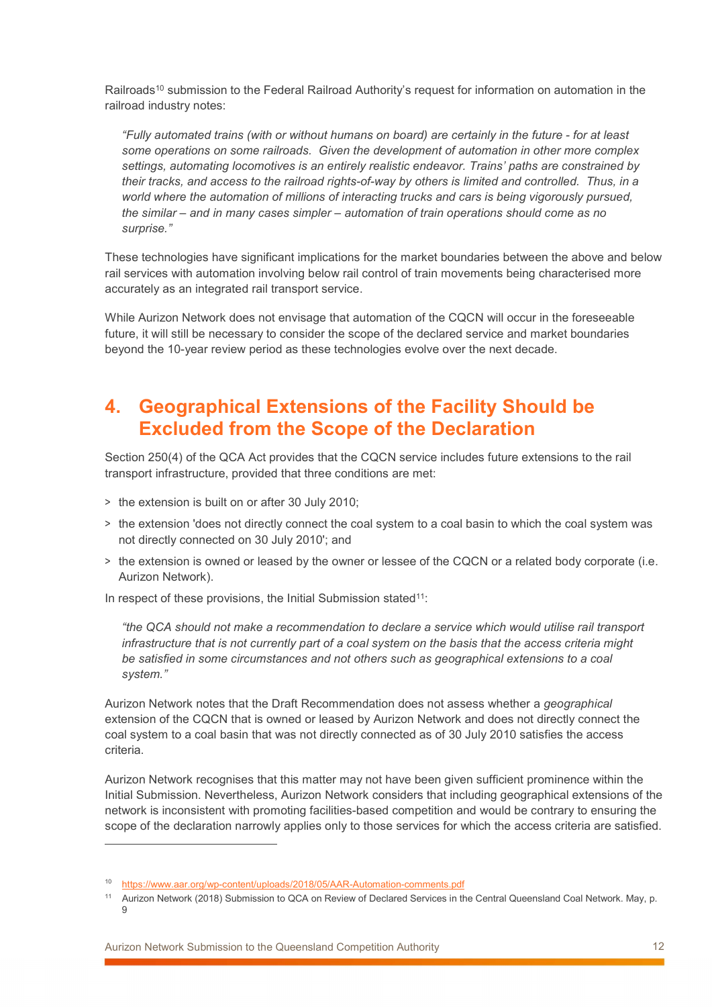Railroads<sup>10</sup> submission to the Federal Railroad Authority's request for information on automation in the railroad industry notes:

"Fully automated trains (with or without humans on board) are certainly in the future - for at least some operations on some railroads. Given the development of automation in other more complex settings, automating locomotives is an entirely realistic endeavor. Trains' paths are constrained by their tracks, and access to the railroad rights-of-way by others is limited and controlled. Thus, in a world where the automation of millions of interacting trucks and cars is being vigorously pursued, the similar – and in many cases simpler – automation of train operations should come as no surprise."

These technologies have significant implications for the market boundaries between the above and below rail services with automation involving below rail control of train movements being characterised more accurately as an integrated rail transport service.

While Aurizon Network does not envisage that automation of the CQCN will occur in the foreseeable future, it will still be necessary to consider the scope of the declared service and market boundaries beyond the 10-year review period as these technologies evolve over the next decade.

## 4. Geographical Extensions of the Facility Should be Excluded from the Scope of the Declaration

Section 250(4) of the QCA Act provides that the CQCN service includes future extensions to the rail transport infrastructure, provided that three conditions are met:

- > the extension is built on or after 30 July 2010;
- > the extension 'does not directly connect the coal system to a coal basin to which the coal system was not directly connected on 30 July 2010'; and
- > the extension is owned or leased by the owner or lessee of the CQCN or a related body corporate (i.e. Aurizon Network).

In respect of these provisions, the Initial Submission stated<sup>11</sup>:

"the QCA should not make a recommendation to declare a service which would utilise rail transport infrastructure that is not currently part of a coal system on the basis that the access criteria might be satisfied in some circumstances and not others such as geographical extensions to a coal system."

Aurizon Network notes that the Draft Recommendation does not assess whether a geographical extension of the CQCN that is owned or leased by Aurizon Network and does not directly connect the coal system to a coal basin that was not directly connected as of 30 July 2010 satisfies the access criteria.

Aurizon Network recognises that this matter may not have been given sufficient prominence within the Initial Submission. Nevertheless, Aurizon Network considers that including geographical extensions of the network is inconsistent with promoting facilities-based competition and would be contrary to ensuring the scope of the declaration narrowly applies only to those services for which the access criteria are satisfied.

<sup>&</sup>lt;sup>10</sup> https://www.aar.org/wp-content/uploads/2018/05/AAR-Automation-comments.pdf

<sup>11</sup> Aurizon Network (2018) Submission to QCA on Review of Declared Services in the Central Queensland Coal Network. May, p. 9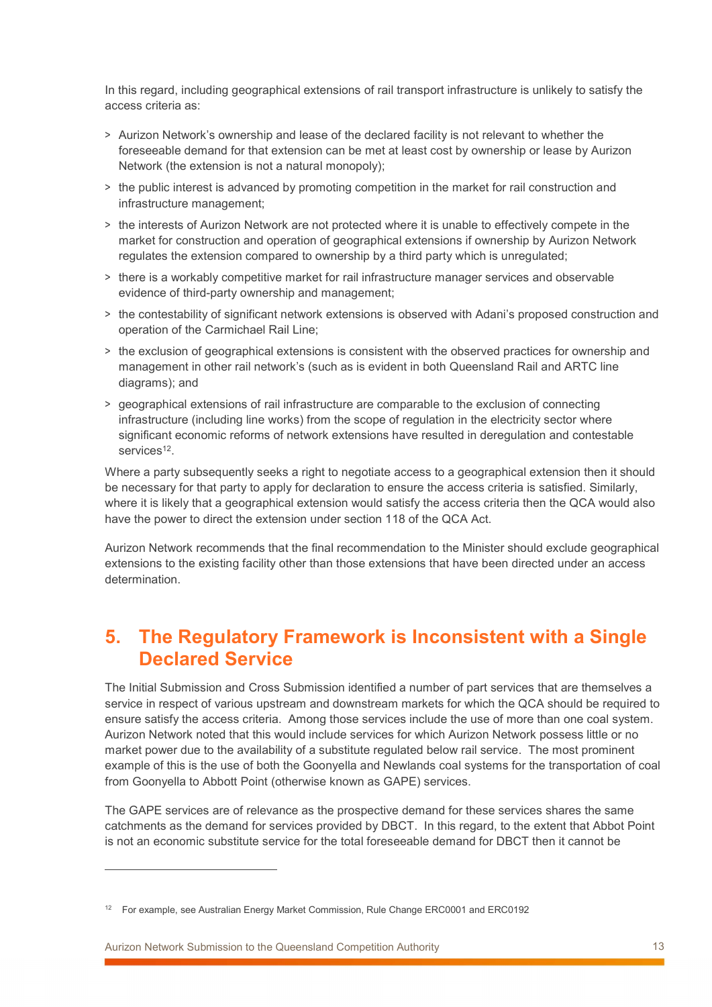In this regard, including geographical extensions of rail transport infrastructure is unlikely to satisfy the access criteria as:

- > Aurizon Network's ownership and lease of the declared facility is not relevant to whether the foreseeable demand for that extension can be met at least cost by ownership or lease by Aurizon Network (the extension is not a natural monopoly);
- > the public interest is advanced by promoting competition in the market for rail construction and infrastructure management;
- > the interests of Aurizon Network are not protected where it is unable to effectively compete in the market for construction and operation of geographical extensions if ownership by Aurizon Network regulates the extension compared to ownership by a third party which is unregulated;
- > there is a workably competitive market for rail infrastructure manager services and observable evidence of third-party ownership and management;
- > the contestability of significant network extensions is observed with Adani's proposed construction and operation of the Carmichael Rail Line;
- > the exclusion of geographical extensions is consistent with the observed practices for ownership and management in other rail network's (such as is evident in both Queensland Rail and ARTC line diagrams); and
- > geographical extensions of rail infrastructure are comparable to the exclusion of connecting infrastructure (including line works) from the scope of regulation in the electricity sector where significant economic reforms of network extensions have resulted in deregulation and contestable services<sup>12</sup>.

Where a party subsequently seeks a right to negotiate access to a geographical extension then it should be necessary for that party to apply for declaration to ensure the access criteria is satisfied. Similarly, where it is likely that a geographical extension would satisfy the access criteria then the QCA would also have the power to direct the extension under section 118 of the QCA Act.

Aurizon Network recommends that the final recommendation to the Minister should exclude geographical extensions to the existing facility other than those extensions that have been directed under an access determination.

#### 5. The Regulatory Framework is Inconsistent with a Single Declared Service

The Initial Submission and Cross Submission identified a number of part services that are themselves a service in respect of various upstream and downstream markets for which the QCA should be required to ensure satisfy the access criteria. Among those services include the use of more than one coal system. Aurizon Network noted that this would include services for which Aurizon Network possess little or no market power due to the availability of a substitute regulated below rail service. The most prominent example of this is the use of both the Goonyella and Newlands coal systems for the transportation of coal from Goonyella to Abbott Point (otherwise known as GAPE) services.

The GAPE services are of relevance as the prospective demand for these services shares the same catchments as the demand for services provided by DBCT. In this regard, to the extent that Abbot Point is not an economic substitute service for the total foreseeable demand for DBCT then it cannot be

Aurizon Network Submission to the Queensland Competition Authority 13

<sup>&</sup>lt;sup>12</sup> For example, see Australian Energy Market Commission, Rule Change ERC0001 and ERC0192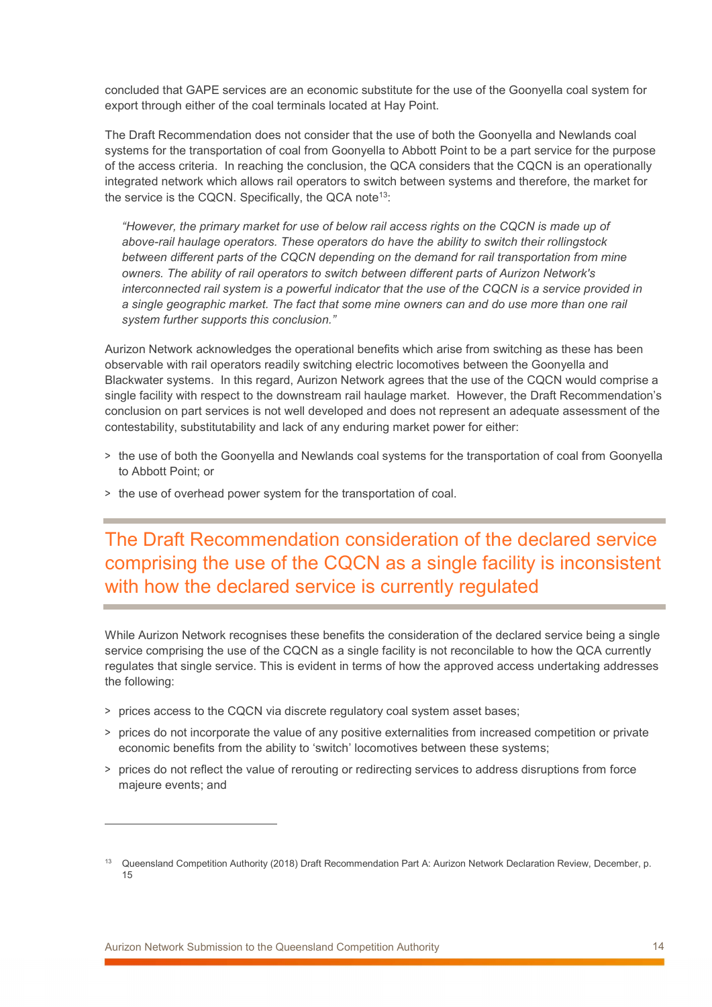concluded that GAPE services are an economic substitute for the use of the Goonyella coal system for export through either of the coal terminals located at Hay Point.

The Draft Recommendation does not consider that the use of both the Goonyella and Newlands coal systems for the transportation of coal from Goonyella to Abbott Point to be a part service for the purpose of the access criteria. In reaching the conclusion, the QCA considers that the CQCN is an operationally integrated network which allows rail operators to switch between systems and therefore, the market for the service is the CQCN. Specifically, the QCA note<sup>13</sup>:

"However, the primary market for use of below rail access rights on the CQCN is made up of above-rail haulage operators. These operators do have the ability to switch their rollingstock between different parts of the CQCN depending on the demand for rail transportation from mine owners. The ability of rail operators to switch between different parts of Aurizon Network's interconnected rail system is a powerful indicator that the use of the CQCN is a service provided in a single geographic market. The fact that some mine owners can and do use more than one rail system further supports this conclusion."

Aurizon Network acknowledges the operational benefits which arise from switching as these has been observable with rail operators readily switching electric locomotives between the Goonyella and Blackwater systems. In this regard, Aurizon Network agrees that the use of the CQCN would comprise a single facility with respect to the downstream rail haulage market. However, the Draft Recommendation's conclusion on part services is not well developed and does not represent an adequate assessment of the contestability, substitutability and lack of any enduring market power for either:

- > the use of both the Goonyella and Newlands coal systems for the transportation of coal from Goonyella to Abbott Point; or
- > the use of overhead power system for the transportation of coal.

The Draft Recommendation consideration of the declared service comprising the use of the CQCN as a single facility is inconsistent with how the declared service is currently regulated

While Aurizon Network recognises these benefits the consideration of the declared service being a single service comprising the use of the CQCN as a single facility is not reconcilable to how the QCA currently regulates that single service. This is evident in terms of how the approved access undertaking addresses the following:

- > prices access to the CQCN via discrete regulatory coal system asset bases;
- > prices do not incorporate the value of any positive externalities from increased competition or private economic benefits from the ability to 'switch' locomotives between these systems;
- > prices do not reflect the value of rerouting or redirecting services to address disruptions from force majeure events; and

<sup>13</sup> Queensland Competition Authority (2018) Draft Recommendation Part A: Aurizon Network Declaration Review, December, p. 15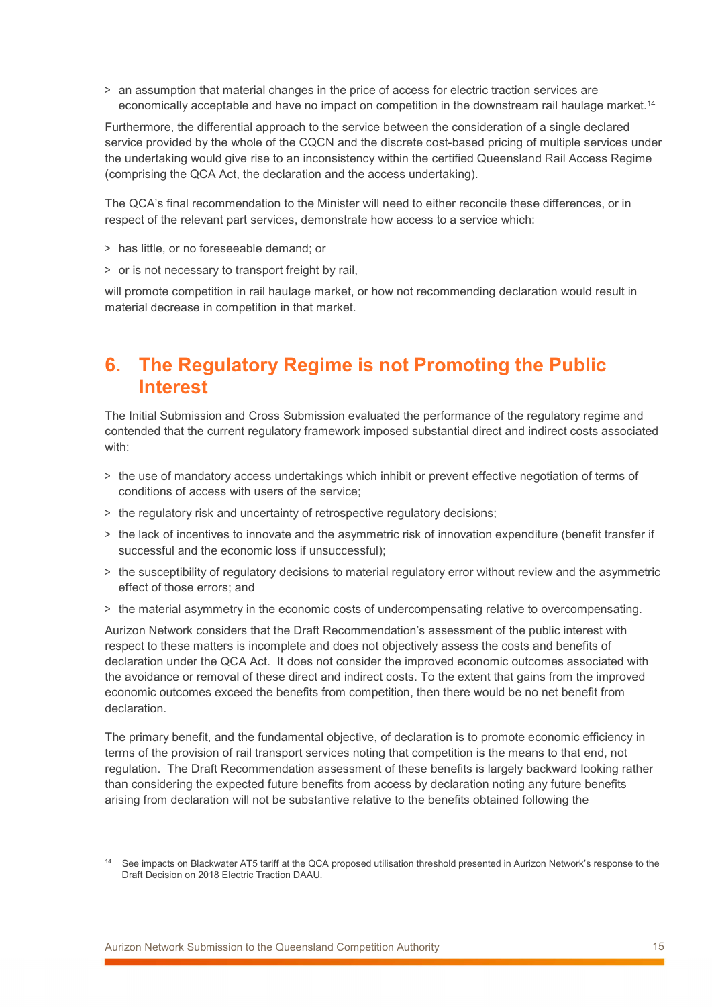> an assumption that material changes in the price of access for electric traction services are economically acceptable and have no impact on competition in the downstream rail haulage market.<sup>14</sup>

Furthermore, the differential approach to the service between the consideration of a single declared service provided by the whole of the CQCN and the discrete cost-based pricing of multiple services under the undertaking would give rise to an inconsistency within the certified Queensland Rail Access Regime (comprising the QCA Act, the declaration and the access undertaking).

The QCA's final recommendation to the Minister will need to either reconcile these differences, or in respect of the relevant part services, demonstrate how access to a service which:

- > has little, or no foreseeable demand; or
- > or is not necessary to transport freight by rail,

will promote competition in rail haulage market, or how not recommending declaration would result in material decrease in competition in that market.

## 6. The Regulatory Regime is not Promoting the Public Interest

The Initial Submission and Cross Submission evaluated the performance of the regulatory regime and contended that the current regulatory framework imposed substantial direct and indirect costs associated with:

- > the use of mandatory access undertakings which inhibit or prevent effective negotiation of terms of conditions of access with users of the service;
- > the regulatory risk and uncertainty of retrospective regulatory decisions;
- > the lack of incentives to innovate and the asymmetric risk of innovation expenditure (benefit transfer if successful and the economic loss if unsuccessful);
- > the susceptibility of regulatory decisions to material regulatory error without review and the asymmetric effect of those errors; and
- > the material asymmetry in the economic costs of undercompensating relative to overcompensating.

Aurizon Network considers that the Draft Recommendation's assessment of the public interest with respect to these matters is incomplete and does not objectively assess the costs and benefits of declaration under the QCA Act. It does not consider the improved economic outcomes associated with the avoidance or removal of these direct and indirect costs. To the extent that gains from the improved economic outcomes exceed the benefits from competition, then there would be no net benefit from declaration.

The primary benefit, and the fundamental objective, of declaration is to promote economic efficiency in terms of the provision of rail transport services noting that competition is the means to that end, not regulation. The Draft Recommendation assessment of these benefits is largely backward looking rather than considering the expected future benefits from access by declaration noting any future benefits arising from declaration will not be substantive relative to the benefits obtained following the

<sup>&</sup>lt;sup>14</sup> See impacts on Blackwater AT5 tariff at the QCA proposed utilisation threshold presented in Aurizon Network's response to the Draft Decision on 2018 Electric Traction DAAU.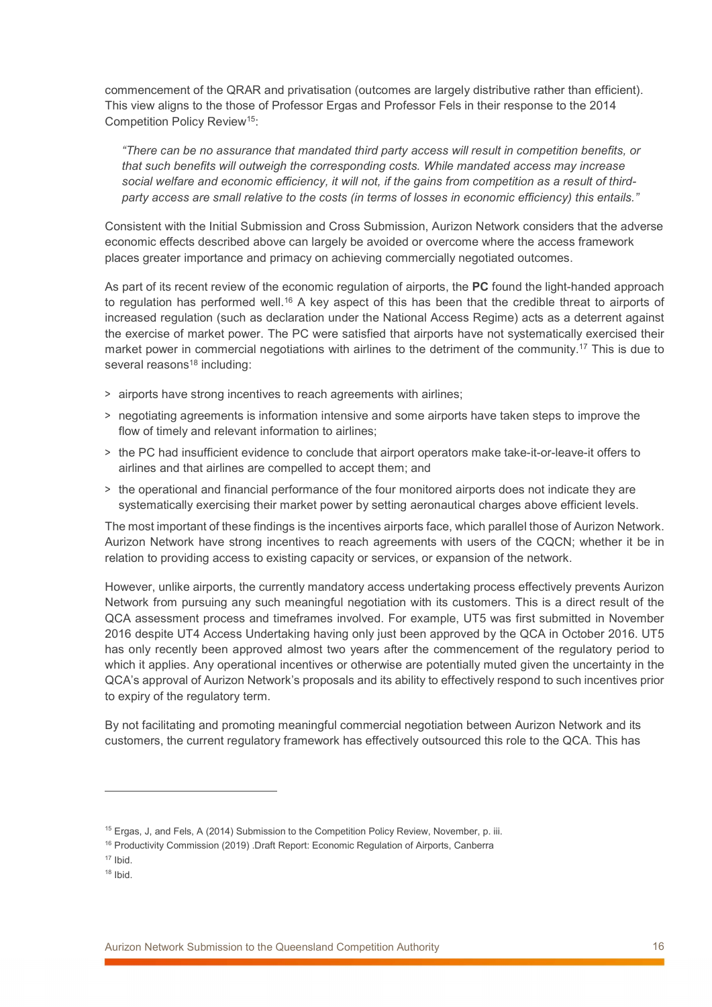commencement of the QRAR and privatisation (outcomes are largely distributive rather than efficient). This view aligns to the those of Professor Ergas and Professor Fels in their response to the 2014 Competition Policy Review<sup>15</sup>:

"There can be no assurance that mandated third party access will result in competition benefits, or that such benefits will outweigh the corresponding costs. While mandated access may increase social welfare and economic efficiency, it will not, if the gains from competition as a result of thirdparty access are small relative to the costs (in terms of losses in economic efficiency) this entails."

Consistent with the Initial Submission and Cross Submission, Aurizon Network considers that the adverse economic effects described above can largely be avoided or overcome where the access framework places greater importance and primacy on achieving commercially negotiated outcomes.

As part of its recent review of the economic regulation of airports, the **PC** found the light-handed approach to regulation has performed well.<sup>16</sup> A key aspect of this has been that the credible threat to airports of increased regulation (such as declaration under the National Access Regime) acts as a deterrent against the exercise of market power. The PC were satisfied that airports have not systematically exercised their market power in commercial negotiations with airlines to the detriment of the community.<sup>17</sup> This is due to several reasons<sup>18</sup> including:

- > airports have strong incentives to reach agreements with airlines;
- > negotiating agreements is information intensive and some airports have taken steps to improve the flow of timely and relevant information to airlines;
- > the PC had insufficient evidence to conclude that airport operators make take-it-or-leave-it offers to airlines and that airlines are compelled to accept them; and
- > the operational and financial performance of the four monitored airports does not indicate they are systematically exercising their market power by setting aeronautical charges above efficient levels.

The most important of these findings is the incentives airports face, which parallel those of Aurizon Network. Aurizon Network have strong incentives to reach agreements with users of the CQCN; whether it be in relation to providing access to existing capacity or services, or expansion of the network.

However, unlike airports, the currently mandatory access undertaking process effectively prevents Aurizon Network from pursuing any such meaningful negotiation with its customers. This is a direct result of the QCA assessment process and timeframes involved. For example, UT5 was first submitted in November 2016 despite UT4 Access Undertaking having only just been approved by the QCA in October 2016. UT5 has only recently been approved almost two years after the commencement of the regulatory period to which it applies. Any operational incentives or otherwise are potentially muted given the uncertainty in the QCA's approval of Aurizon Network's proposals and its ability to effectively respond to such incentives prior to expiry of the regulatory term.

By not facilitating and promoting meaningful commercial negotiation between Aurizon Network and its customers, the current regulatory framework has effectively outsourced this role to the QCA. This has

<sup>&</sup>lt;sup>15</sup> Ergas, J, and Fels, A (2014) Submission to the Competition Policy Review, November, p. iii.

<sup>&</sup>lt;sup>16</sup> Productivity Commission (2019) .Draft Report: Economic Regulation of Airports, Canberra

 $17$  Ibid.

 $18$  Ibid.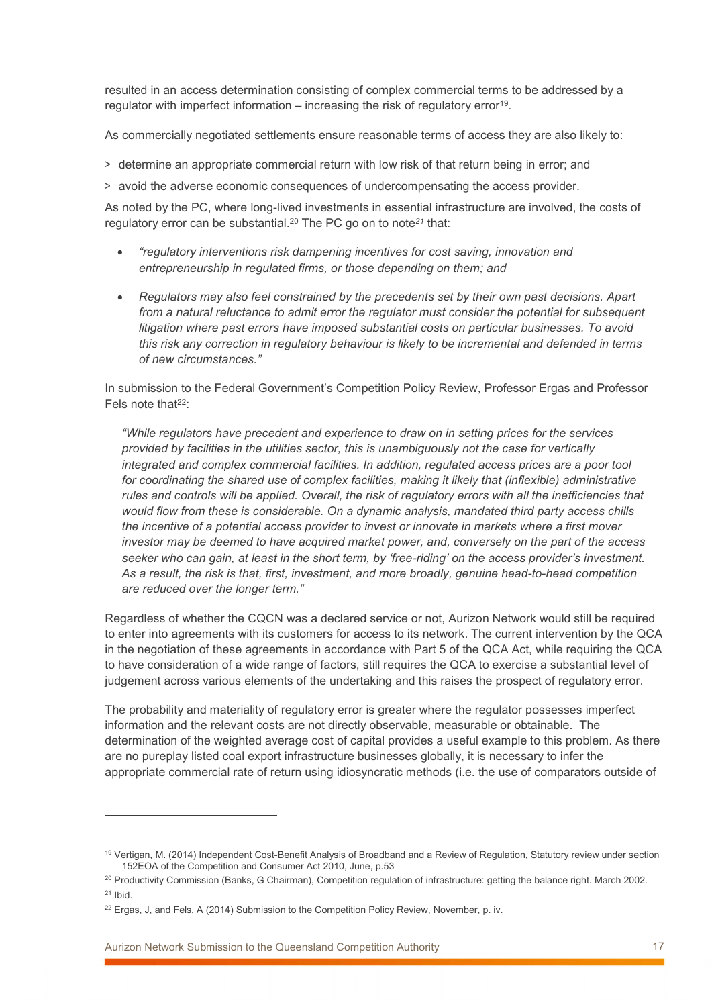resulted in an access determination consisting of complex commercial terms to be addressed by a regulator with imperfect information – increasing the risk of regulatory error<sup>19</sup>.

As commercially negotiated settlements ensure reasonable terms of access they are also likely to:

> determine an appropriate commercial return with low risk of that return being in error; and

> avoid the adverse economic consequences of undercompensating the access provider.

As noted by the PC, where long-lived investments in essential infrastructure are involved, the costs of regulatory error can be substantial.<sup>20</sup> The PC go on to note<sup>21</sup> that:

- "regulatory interventions risk dampening incentives for cost saving, innovation and entrepreneurship in regulated firms, or those depending on them; and
- Regulators may also feel constrained by the precedents set by their own past decisions. Apart from a natural reluctance to admit error the regulator must consider the potential for subsequent litigation where past errors have imposed substantial costs on particular businesses. To avoid this risk any correction in regulatory behaviour is likely to be incremental and defended in terms of new circumstances."

In submission to the Federal Government's Competition Policy Review, Professor Ergas and Professor Fels note that<sup>22</sup>:

"While regulators have precedent and experience to draw on in setting prices for the services provided by facilities in the utilities sector, this is unambiguously not the case for vertically integrated and complex commercial facilities. In addition, regulated access prices are a poor tool for coordinating the shared use of complex facilities, making it likely that (inflexible) administrative rules and controls will be applied. Overall, the risk of regulatory errors with all the inefficiencies that would flow from these is considerable. On a dynamic analysis, mandated third party access chills the incentive of a potential access provider to invest or innovate in markets where a first mover investor may be deemed to have acquired market power, and, conversely on the part of the access seeker who can gain, at least in the short term, by 'free-riding' on the access provider's investment. As a result, the risk is that, first, investment, and more broadly, genuine head-to-head competition are reduced over the longer term."

Regardless of whether the CQCN was a declared service or not, Aurizon Network would still be required to enter into agreements with its customers for access to its network. The current intervention by the QCA in the negotiation of these agreements in accordance with Part 5 of the QCA Act, while requiring the QCA to have consideration of a wide range of factors, still requires the QCA to exercise a substantial level of judgement across various elements of the undertaking and this raises the prospect of regulatory error.

The probability and materiality of regulatory error is greater where the regulator possesses imperfect information and the relevant costs are not directly observable, measurable or obtainable. The determination of the weighted average cost of capital provides a useful example to this problem. As there are no pureplay listed coal export infrastructure businesses globally, it is necessary to infer the appropriate commercial rate of return using idiosyncratic methods (i.e. the use of comparators outside of

<sup>19</sup> Vertigan, M. (2014) Independent Cost-Benefit Analysis of Broadband and a Review of Regulation, Statutory review under section 152EOA of the Competition and Consumer Act 2010, June, p.53

<sup>&</sup>lt;sup>20</sup> Productivity Commission (Banks, G Chairman), Competition regulation of infrastructure: getting the balance right. March 2002.  $21$  Ibid.

 $22$  Ergas, J, and Fels, A (2014) Submission to the Competition Policy Review, November, p. iv.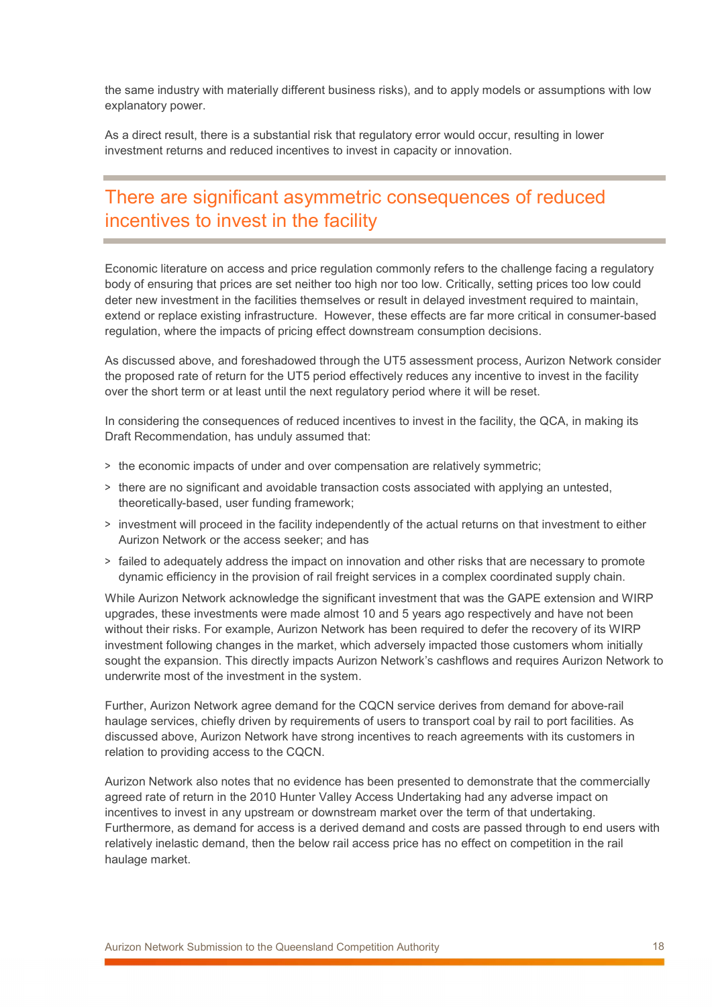the same industry with materially different business risks), and to apply models or assumptions with low explanatory power.

As a direct result, there is a substantial risk that regulatory error would occur, resulting in lower investment returns and reduced incentives to invest in capacity or innovation.

## There are significant asymmetric consequences of reduced incentives to invest in the facility

Economic literature on access and price regulation commonly refers to the challenge facing a regulatory body of ensuring that prices are set neither too high nor too low. Critically, setting prices too low could deter new investment in the facilities themselves or result in delayed investment required to maintain, extend or replace existing infrastructure. However, these effects are far more critical in consumer-based regulation, where the impacts of pricing effect downstream consumption decisions.

As discussed above, and foreshadowed through the UT5 assessment process, Aurizon Network consider the proposed rate of return for the UT5 period effectively reduces any incentive to invest in the facility over the short term or at least until the next regulatory period where it will be reset.

In considering the consequences of reduced incentives to invest in the facility, the QCA, in making its Draft Recommendation, has unduly assumed that:

- > the economic impacts of under and over compensation are relatively symmetric;
- > there are no significant and avoidable transaction costs associated with applying an untested, theoretically-based, user funding framework;
- > investment will proceed in the facility independently of the actual returns on that investment to either Aurizon Network or the access seeker; and has
- > failed to adequately address the impact on innovation and other risks that are necessary to promote dynamic efficiency in the provision of rail freight services in a complex coordinated supply chain.

While Aurizon Network acknowledge the significant investment that was the GAPE extension and WIRP upgrades, these investments were made almost 10 and 5 years ago respectively and have not been without their risks. For example, Aurizon Network has been required to defer the recovery of its WIRP investment following changes in the market, which adversely impacted those customers whom initially sought the expansion. This directly impacts Aurizon Network's cashflows and requires Aurizon Network to underwrite most of the investment in the system.

Further, Aurizon Network agree demand for the CQCN service derives from demand for above-rail haulage services, chiefly driven by requirements of users to transport coal by rail to port facilities. As discussed above, Aurizon Network have strong incentives to reach agreements with its customers in relation to providing access to the CQCN.

Aurizon Network also notes that no evidence has been presented to demonstrate that the commercially agreed rate of return in the 2010 Hunter Valley Access Undertaking had any adverse impact on incentives to invest in any upstream or downstream market over the term of that undertaking. Furthermore, as demand for access is a derived demand and costs are passed through to end users with relatively inelastic demand, then the below rail access price has no effect on competition in the rail haulage market.